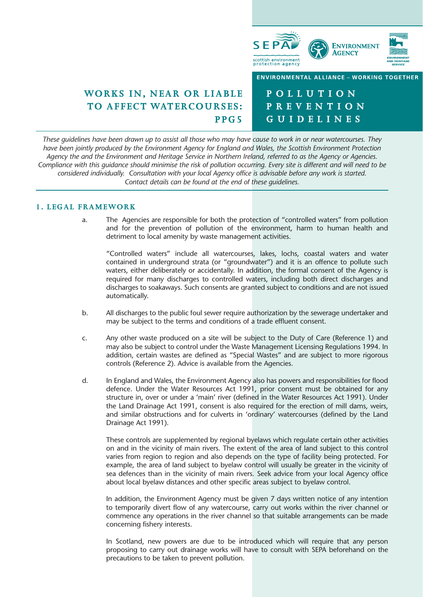

# **WORKS IN, NEAR OR LIABLE TO AFFECT WATERCOURSES: PPG5**

**POLLUTION PREVENTION GUIDELINES**

*These guidelines have been drawn up to assist all those who may have cause to work in or near watercourses. They have been jointly produced by the Environment Agency for England and Wales, the Scottish Environment Protection Agency the and the Environment and Heritage Service in Northern Ireland, referred to as the Agency or Agencies. Compliance with this guidance should minimise the risk of pollution occurring. Every site is different and will need to be considered individually. Consultation with your local Agency office is advisable before any work is started. Contact details can be found at the end of these guidelines.*

# **1. LEGAL FRAMEWORK**

a. The Agencies are responsible for both the protection of "controlled waters" from pollution and for the prevention of pollution of the environment, harm to human health and detriment to local amenity by waste management activities.

"Controlled waters" include all watercourses, lakes, lochs, coastal waters and water contained in underground strata (or "groundwater") and it is an offence to pollute such waters, either deliberately or accidentally. In addition, the formal consent of the Agency is required for many discharges to controlled waters, including both direct discharges and discharges to soakaways. Such consents are granted subject to conditions and are not issued automatically.

- b. All discharges to the public foul sewer require authorization by the sewerage undertaker and may be subject to the terms and conditions of a trade effluent consent.
- c. Any other waste produced on a site will be subject to the Duty of Care (Reference 1) and may also be subject to control under the Waste Management Licensing Regulations 1994. In addition, certain wastes are defined as "Special Wastes" and are subject to more rigorous controls (Reference 2). Advice is available from the Agencies.
- d. In England and Wales, the Environment Agency also has powers and responsibilities for flood defence. Under the Water Resources Act 1991, prior consent must be obtained for any structure in, over or under a 'main' river (defined in the Water Resources Act 1991). Under the Land Drainage Act 1991, consent is also required for the erection of mill dams, weirs, and similar obstructions and for culverts in 'ordinary' watercourses (defined by the Land Drainage Act 1991).

These controls are supplemented by regional byelaws which regulate certain other activities on and in the vicinity of main rivers. The extent of the area of land subject to this control varies from region to region and also depends on the type of facility being protected. For example, the area of land subject to byelaw control will usually be greater in the vicinity of sea defences than in the vicinity of main rivers. Seek advice from your local Agency office about local byelaw distances and other specific areas subject to byelaw control.

In addition, the Environment Agency must be given 7 days written notice of any intention to temporarily divert flow of any watercourse, carry out works within the river channel or commence any operations in the river channel so that suitable arrangements can be made concerning fishery interests.

In Scotland, new powers are due to be introduced which will require that any person proposing to carry out drainage works will have to consult with SEPA beforehand on the precautions to be taken to prevent pollution.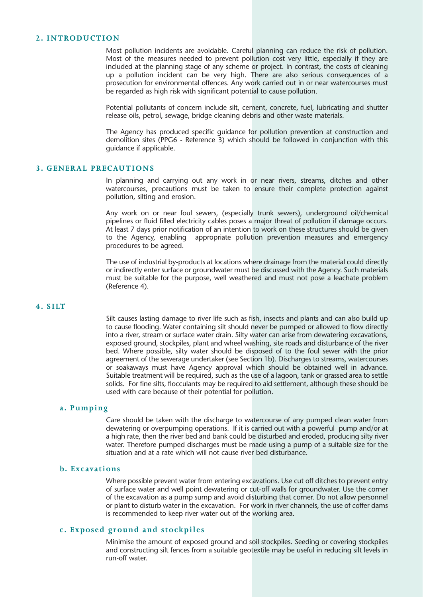# **2. INTRODUCTION**

Most pollution incidents are avoidable. Careful planning can reduce the risk of pollution. Most of the measures needed to prevent pollution cost very little, especially if they are included at the planning stage of any scheme or project. In contrast, the costs of cleaning up a pollution incident can be very high. There are also serious consequences of a prosecution for environmental offences. Any work carried out in or near watercourses must be regarded as high risk with significant potential to cause pollution.

Potential pollutants of concern include silt, cement, concrete, fuel, lubricating and shutter release oils, petrol, sewage, bridge cleaning debris and other waste materials.

The Agency has produced specific guidance for pollution prevention at construction and demolition sites (PPG6 - Reference 3) which should be followed in conjunction with this guidance if applicable.

# **3. GENERAL PRECAUTIONS**

In planning and carrying out any work in or near rivers, streams, ditches and other watercourses, precautions must be taken to ensure their complete protection against pollution, silting and erosion.

Any work on or near foul sewers, (especially trunk sewers), underground oil/chemical pipelines or fluid filled electricity cables poses a major threat of pollution if damage occurs. At least 7 days prior notification of an intention to work on these structures should be given to the Agency, enabling appropriate pollution prevention measures and emergency procedures to be agreed.

The use of industrial by-products at locations where drainage from the material could directly or indirectly enter surface or groundwater must be discussed with the Agency. Such materials must be suitable for the purpose, well weathered and must not pose a leachate problem (Reference 4).

# **4. SILT**

Silt causes lasting damage to river life such as fish, insects and plants and can also build up to cause flooding. Water containing silt should never be pumped or allowed to flow directly into a river, stream or surface water drain. Silty water can arise from dewatering excavations, exposed ground, stockpiles, plant and wheel washing, site roads and disturbance of the river bed. Where possible, silty water should be disposed of to the foul sewer with the prior agreement of the sewerage undertaker (see Section 1b). Discharges to streams, watercourses or soakaways must have Agency approval which should be obtained well in advance. Suitable treatment will be required, such as the use of a lagoon, tank or grassed area to settle solids. For fine silts, flocculants may be required to aid settlement, although these should be used with care because of their potential for pollution.

# **a. Pumping**

Care should be taken with the discharge to watercourse of any pumped clean water from dewatering or overpumping operations. If it is carried out with a powerful pump and/or at a high rate, then the river bed and bank could be disturbed and eroded, producing silty river water. Therefore pumped discharges must be made using a pump of a suitable size for the situation and at a rate which will not cause river bed disturbance.

### **b. Excavations**

Where possible prevent water from entering excavations. Use cut off ditches to prevent entry of surface water and well point dewatering or cut-off walls for groundwater. Use the corner of the excavation as a pump sump and avoid disturbing that corner. Do not allow personnel or plant to disturb water in the excavation. For work in river channels, the use of coffer dams is recommended to keep river water out of the working area.

# **c. Exposed ground and stockpiles**

Minimise the amount of exposed ground and soil stockpiles. Seeding or covering stockpiles and constructing silt fences from a suitable geotextile may be useful in reducing silt levels in run-off water.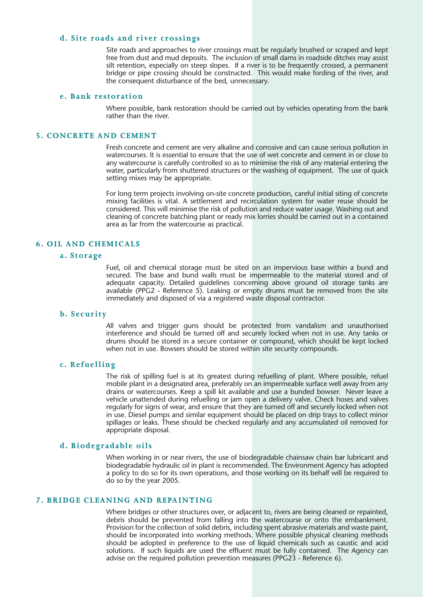# **d. Site roads and river crossings**

Site roads and approaches to river crossings must be regularly brushed or scraped and kept free from dust and mud deposits. The inclusion of small dams in roadside ditches may assist silt retention, especially on steep slopes. If a river is to be frequently crossed, a permanent bridge or pipe crossing should be constructed. This would make fording of the river, and the consequent disturbance of the bed, unnecessary.

# **e. Bank restoration**

Where possible, bank restoration should be carried out by vehicles operating from the bank rather than the river.

# **5. CONCRETE AND CEMENT**

Fresh concrete and cement are very alkaline and corrosive and can cause serious pollution in watercourses. It is essential to ensure that the use of wet concrete and cement in or close to any watercourse is carefully controlled so as to minimise the risk of any material entering the water, particularly from shuttered structures or the washing of equipment. The use of quick setting mixes may be appropriate.

For long term projects involving on-site concrete production, careful initial siting of concrete mixing facilities is vital. A settlement and recirculation system for water reuse should be considered. This will minimise the risk of pollution and reduce water usage. Washing out and cleaning of concrete batching plant or ready mix lorries should be carried out in a contained area as far from the watercourse as practical.

# **6. OIL AND CHEMICALS**

#### **a. Storage**

Fuel, oil and chemical storage must be sited on an impervious base within a bund and secured. The base and bund walls must be impermeable to the material stored and of adequate capacity. Detailed guidelines concerning above ground oil storage tanks are available (PPG2 - Reference 5). Leaking or empty drums must be removed from the site immediately and disposed of via a registered waste disposal contractor.

#### **b. Security**

All valves and trigger guns should be protected from vandalism and unauthorised interference and should be turned off and securely locked when not in use. Any tanks or drums should be stored in a secure container or compound, which should be kept locked when not in use. Bowsers should be stored within site security compounds.

### **c. Refuelling**

The risk of spilling fuel is at its greatest during refuelling of plant. Where possible, refuel mobile plant in a designated area, preferably on an impermeable surface well away from any drains or watercourses. Keep a spill kit available and use a bunded bowser. Never leave a vehicle unattended during refuelling or jam open a delivery valve. Check hoses and valves regularly for signs of wear, and ensure that they are turned off and securely locked when not in use. Diesel pumps and similar equipment should be placed on drip trays to collect minor spillages or leaks. These should be checked regularly and any accumulated oil removed for appropriate disposal.

#### **d. Biodegradable oils**

When working in or near rivers, the use of biodegradable chainsaw chain bar lubricant and biodegradable hydraulic oil in plant is recommended. The Environment Agency has adopted a policy to do so for its own operations, and those working on its behalf will be required to do so by the year 2005.

# **7. BRIDGE CLEANING AND REPAINTING**

Where bridges or other structures over, or adjacent to, rivers are being cleaned or repainted, debris should be prevented from falling into the watercourse or onto the embankment. Provision for the collection of solid debris, including spent abrasive materials and waste paint, should be incorporated into working methods. Where possible physical cleaning methods should be adopted in preference to the use of liquid chemicals such as caustic and acid solutions. If such liquids are used the effluent must be fully contained. The Agency can advise on the required pollution prevention measures (PPG23 - Reference 6).